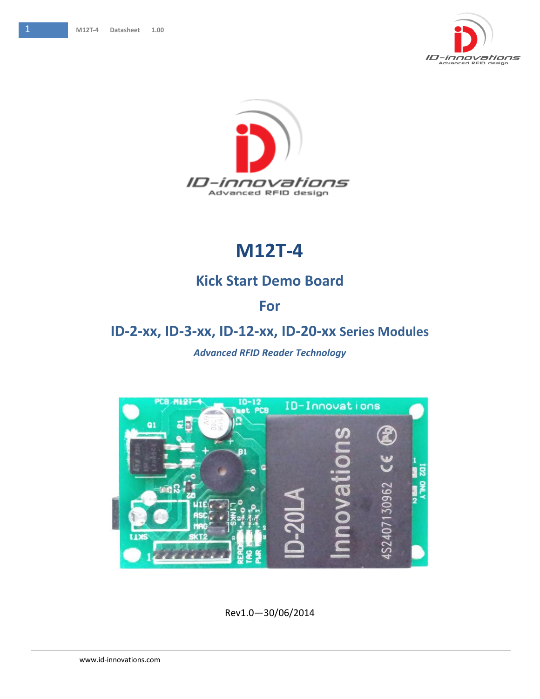



## **M12T-4**

## **Kick Start Demo Board**

## **For**

## **ID-2-xx, ID-3-xx, ID-12-xx, ID-20-xx Series Modules**

### *Advanced RFID Reader Technology*



Rev1.0—30/06/2014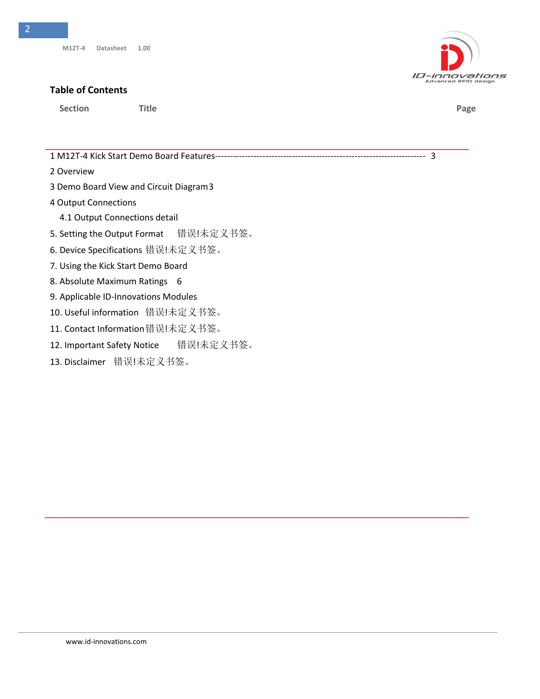#### **Table of Contents**

**Section Title Page**

1 M12T-4 [Kick Start Demo Board Features-----------------------------------------------------------------------](#page-2-0) 3

- [2 Overview](#page-2-1)
- 3 [Demo Board View and Circuit Diagram3](#page-2-0)
- 4 Output Connections
	- 4.1 Output Connections detail
- 5. Setting the Output Format 错误!未定义书签。
- 6. Device Specifications 错误!未定义书签。
- 7. Using the Kick Start Demo Board
- [8. Absolute Maximum Ratings](#page-5-0) 6
- 9. Applicable ID-Innovations Modules
- 10. Useful information 错误!未定义书签。
- 11. Contact Information错误!未定义书签。
- 12. Important Safety Notice 错误!未定义书签。
- 13. Disclaimer 错误!未定义书签。



2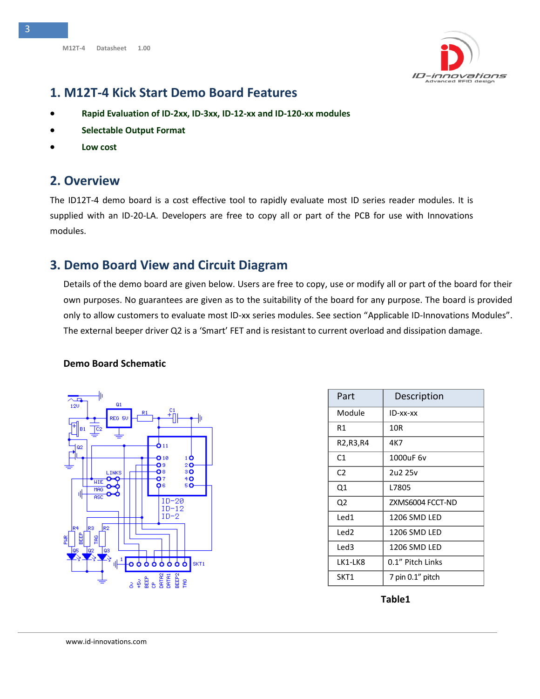

## <span id="page-2-0"></span>**1. M12T-4 Kick Start Demo Board Features**

- **Rapid Evaluation of ID-2xx, ID-3xx, ID-12-xx and ID-120-xx modules**
- **Selectable Output Format**
- **Low cost**

### <span id="page-2-1"></span>**2. Overview**

The ID12T-4 demo board is a cost effective tool to rapidly evaluate most ID series reader modules. It is supplied with an ID-20-LA. Developers are free to copy all or part of the PCB for use with Innovations modules.

## **3. Demo Board View and Circuit Diagram**

Details of the demo board are given below. Users are free to copy, use or modify all or part of the board for their own purposes. No guarantees are given as to the suitability of the board for any purpose. The board is provided only to allow customers to evaluate most ID-xx series modules. See section "Applicable ID-Innovations Modules". The external beeper driver Q2 is a 'Smart' FET and is resistant to current overload and dissipation damage.

### **Demo Board Schematic**



| Part             | Description      |
|------------------|------------------|
| Module           | ID-xx-xx         |
| R1               | 10R              |
| R2,R3,R4         | 4K7              |
| C <sub>1</sub>   | 1000uF 6v        |
| C <sub>2</sub>   | 2u2 25v          |
| Q1               | L7805            |
| Q2               | ZXMS6004 FCCT-ND |
| Led1             | 1206 SMD LED     |
| Led <sub>2</sub> | 1206 SMD LED     |
| Led3             | 1206 SMD LED     |
| LK1-LK8          | 0.1" Pitch Links |
| SKT1             | 7 pin 0.1" pitch |

**Table1**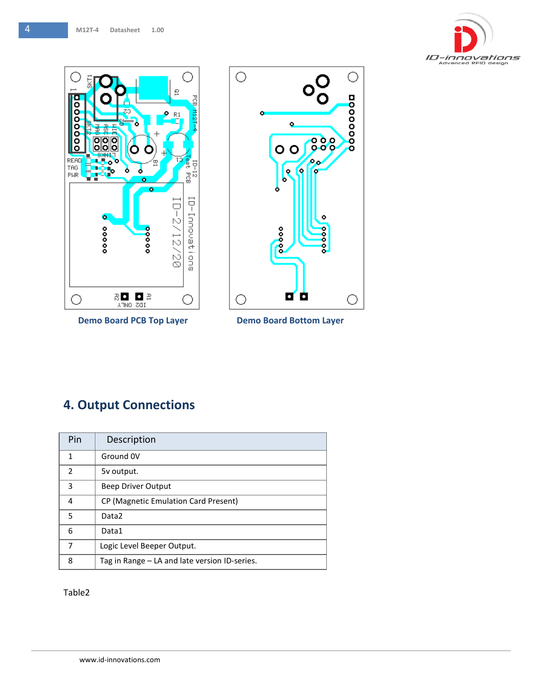



**Demo Board PCB Top Layer Demo Board Bottom Layer** 



## **4. Output Connections**

| Pin            | Description                                   |
|----------------|-----------------------------------------------|
| 1              | Ground 0V                                     |
| $\overline{2}$ | 5v output.                                    |
| 3              | Beep Driver Output                            |
| 4              | CP (Magnetic Emulation Card Present)          |
| 5              | Data <sub>2</sub>                             |
| 6              | Data1                                         |
| 7              | Logic Level Beeper Output.                    |
| 8              | Tag in Range – LA and late version ID-series. |

Table2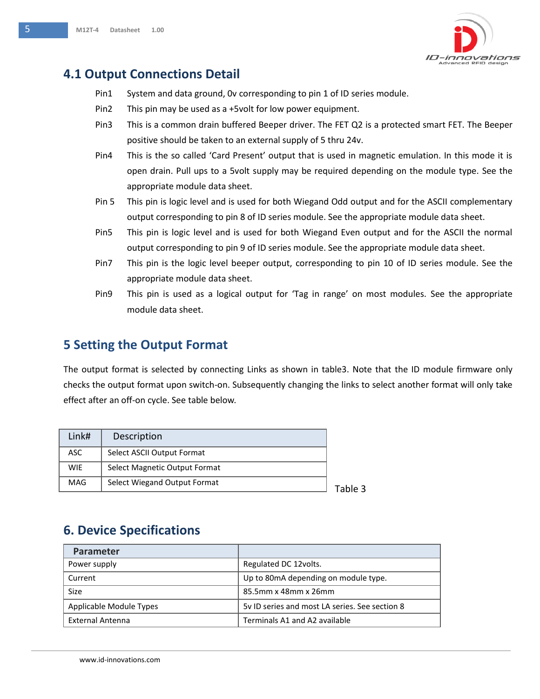

## **4.1 Output Connections Detail**

- Pin1 System and data ground, 0v corresponding to pin 1 of ID series module.
- Pin2 This pin may be used as a +5volt for low power equipment.
- Pin3 This is a common drain buffered Beeper driver. The FET Q2 is a protected smart FET. The Beeper positive should be taken to an external supply of 5 thru 24v.
- Pin4 This is the so called 'Card Present' output that is used in magnetic emulation. In this mode it is open drain. Pull ups to a 5volt supply may be required depending on the module type. See the appropriate module data sheet.
- Pin 5 This pin is logic level and is used for both Wiegand Odd output and for the ASCII complementary output corresponding to pin 8 of ID series module. See the appropriate module data sheet.
- Pin5 This pin is logic level and is used for both Wiegand Even output and for the ASCII the normal output corresponding to pin 9 of ID series module. See the appropriate module data sheet.
- Pin7 This pin is the logic level beeper output, corresponding to pin 10 of ID series module. See the appropriate module data sheet.
- Pin9 This pin is used as a logical output for 'Tag in range' on most modules. See the appropriate module data sheet.

## **5 Setting the Output Format**

The output format is selected by connecting Links as shown in table3. Note that the ID module firmware only checks the output format upon switch-on. Subsequently changing the links to select another format will only take effect after an off-on cycle. See table below.

 $\overline{3}$ 

| Link#      | Description                   |  |
|------------|-------------------------------|--|
| ASC        | Select ASCII Output Format    |  |
| <b>WIE</b> | Select Magnetic Output Format |  |
| MAG        | Select Wiegand Output Format  |  |

## **6. Device Specifications**

| <b>Parameter</b>        |                                                |
|-------------------------|------------------------------------------------|
| Power supply            | Regulated DC 12volts.                          |
| Current                 | Up to 80mA depending on module type.           |
| Size                    | 85.5mm x 48mm x 26mm                           |
| Applicable Module Types | 5y ID series and most LA series. See section 8 |
| External Antenna        | Terminals A1 and A2 available                  |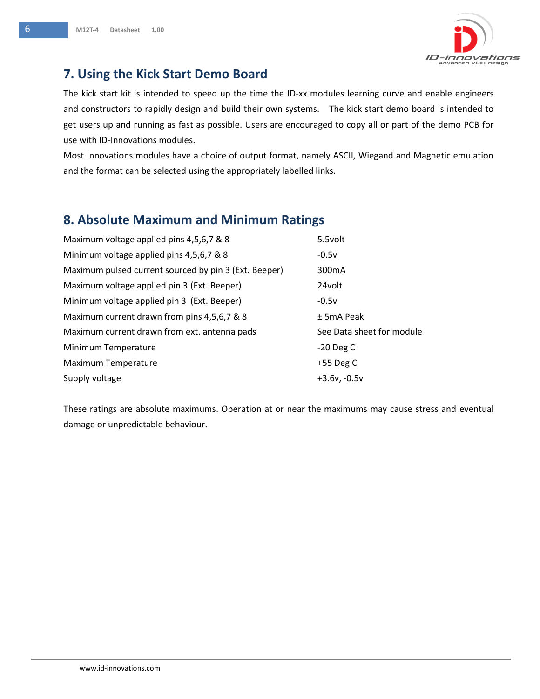

## <span id="page-5-0"></span>**7. Using the Kick Start Demo Board**

The kick start kit is intended to speed up the time the ID-xx modules learning curve and enable engineers and constructors to rapidly design and build their own systems. The kick start demo board is intended to get users up and running as fast as possible. Users are encouraged to copy all or part of the demo PCB for use with ID-Innovations modules.

Most Innovations modules have a choice of output format, namely ASCII, Wiegand and Magnetic emulation and the format can be selected using the appropriately labelled links.

## **8. Absolute Maximum and Minimum Ratings**

| Maximum voltage applied pins 4,5,6,7 & 8              | 5.5volt                   |
|-------------------------------------------------------|---------------------------|
| Minimum voltage applied pins 4,5,6,7 & 8              | $-0.5v$                   |
| Maximum pulsed current sourced by pin 3 (Ext. Beeper) | 300 <sub>m</sub> A        |
| Maximum voltage applied pin 3 (Ext. Beeper)           | 24volt                    |
| Minimum voltage applied pin 3 (Ext. Beeper)           | $-0.5v$                   |
| Maximum current drawn from pins 4,5,6,7 & 8           | $±$ 5mA Peak              |
| Maximum current drawn from ext. antenna pads          | See Data sheet for module |
| Minimum Temperature                                   | $-20$ Deg C               |
| Maximum Temperature                                   | $+55$ Deg C               |
| Supply voltage                                        | $+3.6v, -0.5v$            |

These ratings are absolute maximums. Operation at or near the maximums may cause stress and eventual damage or unpredictable behaviour.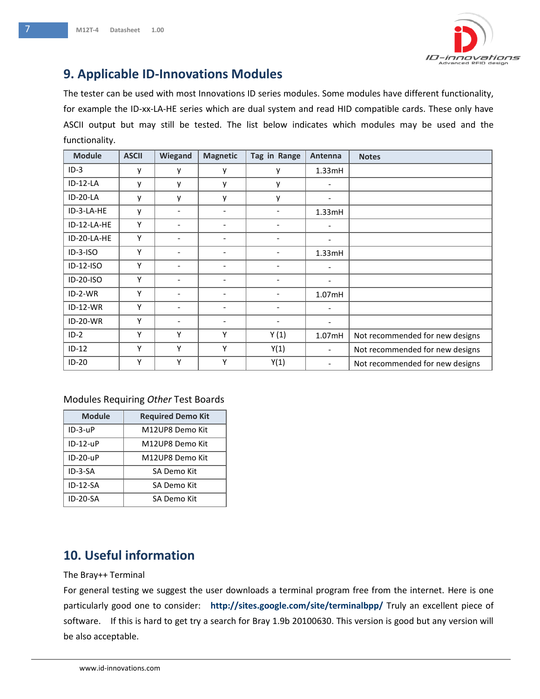

## **9. Applicable ID-Innovations Modules**

The tester can be used with most Innovations ID series modules. Some modules have different functionality, for example the ID-xx-LA-HE series which are dual system and read HID compatible cards. These only have ASCII output but may still be tested. The list below indicates which modules may be used and the functionality.

| <b>Module</b>   | <b>ASCII</b> | Wiegand                  | <b>Magnetic</b>          | Tag in Range                 | Antenna                  | <b>Notes</b>                    |
|-----------------|--------------|--------------------------|--------------------------|------------------------------|--------------------------|---------------------------------|
| $ID-3$          | у            | y                        | y                        | у                            | 1.33mH                   |                                 |
| ID-12-LA        | ٧            | y                        | у                        | у                            | $\overline{\phantom{a}}$ |                                 |
| ID-20-LA        | V            | y                        | y                        | у                            | $\overline{\phantom{a}}$ |                                 |
| ID-3-LA-HE      | V            | ٠                        | $\overline{\phantom{0}}$ | $\overline{\phantom{0}}$     | 1.33mH                   |                                 |
| ID-12-LA-HE     | Υ            | $\overline{\phantom{a}}$ | $\overline{\phantom{0}}$ | $\qquad \qquad \blacksquare$ | $\overline{\phantom{a}}$ |                                 |
| ID-20-LA-HE     | Υ            | $\overline{\phantom{0}}$ |                          |                              | $\overline{\phantom{a}}$ |                                 |
| $ID-3-ISO$      | Υ            | $\overline{\phantom{a}}$ | -                        | $\qquad \qquad \blacksquare$ | 1.33mH                   |                                 |
| ID-12-ISO       | Υ            | $\overline{\phantom{0}}$ | -                        | $\overline{\phantom{0}}$     | $\overline{\phantom{a}}$ |                                 |
| ID-20-ISO       | Υ            | ٠                        | -                        |                              | $\overline{\phantom{a}}$ |                                 |
| $ID-2-WR$       | Υ            | $\overline{\phantom{a}}$ | -                        | $\qquad \qquad \blacksquare$ | 1.07 <sub>m</sub> H      |                                 |
| $ID-12-WR$      | Υ            | $\overline{\phantom{0}}$ |                          |                              | $\overline{\phantom{a}}$ |                                 |
| <b>ID-20-WR</b> | Υ            | $\overline{\phantom{0}}$ | $\overline{\phantom{0}}$ |                              | $\overline{\phantom{a}}$ |                                 |
| $ID-2$          | Υ            | Υ                        | Υ                        | Y(1)                         | 1.07mH                   | Not recommended for new designs |
| $ID-12$         | Υ            | Υ                        | Υ                        | Y(1)                         | $\overline{\phantom{a}}$ | Not recommended for new designs |
| $ID-20$         | Υ            | Υ                        | Y                        | Y(1)                         | $\overline{\phantom{a}}$ | Not recommended for new designs |

### Modules Requiring *Other* Test Boards

| <b>Module</b>   | <b>Required Demo Kit</b> |
|-----------------|--------------------------|
| $ID-3-UP$       | M12UP8 Demo Kit          |
| $ID-12-UP$      | M12UP8 Demo Kit          |
| $ID-2D-UP$      | M12UP8 Demo Kit          |
| ID-3-SA         | SA Demo Kit              |
| $ID-12-SA$      | SA Demo Kit              |
| <b>ID-20-SA</b> | SA Demo Kit              |

# **10. Useful information**<br>The Brav<del>it Isrmina</del>l

### The Bray++ Terminal

For general testing we suggest the user downloads a terminal program free from the internet. Here is one<br>particularly good one to consider: **http://sites.google.com/site/terminalbpp/** Truly an excellent piece of For general testing we suggest the user downloads a terminal program free from the internet. Here is one software. If this is hard to get try a search for Bray 1.9b 20100630. This version is good but any version will be also acceptable.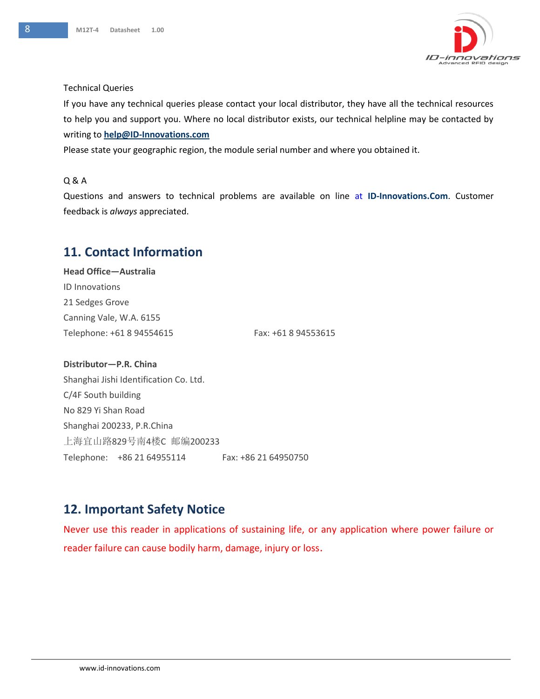

#### Technical Queries

If you have any technical queries please contact your local distributor, they have all the technical resources to help you and support you. Where no local distributor exists, our technical helpline may be contacted by writing to **[help@ID-Innovations.com](mailto:help@ID-Innovations.com)** 

Please state your geographic region, the module serial number and where you obtained it.

### Q & A

Questions and answers to technical problems are available on line at **ID-Innovations.Com**. Customer feedback is *always* appreciated.

## **11. Contact Information**

**Head Office—Australia** ID Innovations 21 Sedges Grove Canning Vale, W.A. 6155 Telephone: +61 8 94554615 Fax: +61 8 94553615

**Distributor—P.R. China** Shanghai Jishi Identification Co. Ltd. C/4F South building No 829 Yi Shan Road Shanghai 200233, P.R.China 上海宜山路829号南4楼C 邮编200233 Telephone: +86 21 64955114 Fax: +86 21 64950750

## **12. Important Safety Notice**

Never use this reader in applications of sustaining life, or any application where power failure or reader failure can cause bodily harm, damage, injury or loss.